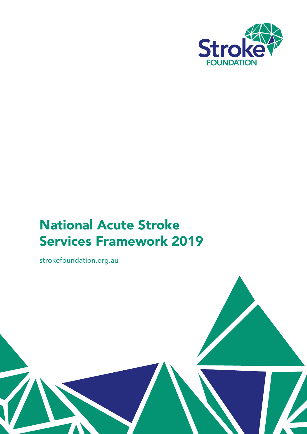

# National Acute Stroke Services Framework 2019

strokefoundation.org.au

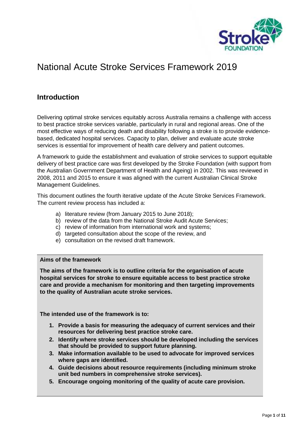

## National Acute Stroke Services Framework 2019

## **Introduction**

Delivering optimal stroke services equitably across Australia remains a challenge with access to best practice stroke services variable, particularly in rural and regional areas. One of the most effective ways of reducing death and disability following a stroke is to provide evidence based, dedicated hospital services. Capacity to plan, deliver and evaluate acute stroke services is essential for improvement of health care delivery and patient outcomes.

A framework to guide the establishment and evaluation of stroke services to support equitable delivery of best practice care was first developed by the Stroke Foundation (with support from the Australian Government Department of Health and Ageing) in 2002. This was reviewed in 2008, 2011 and 2015 to ensure it was aligned with the current Australian Clinical Stroke Management Guidelines.

This document outlines the fourth iterative update of the Acute Stroke Services Framework. The current review process has included a:

- a) literature review (from January 2015 to June 2018);
- b) review of the data from the National Stroke Audit Acute Services;
- c) review of information from international work and systems;
- d) targeted consultation about the scope of the review, and
- e) consultation on the revised draft framework.

#### **Aims of the framework**

**The aims of the framework is to outline criteria for the organisation of acute hospital services for stroke to ensure equitable access to best practice stroke care and provide a mechanism for monitoring and then targeting improvements to the quality of Australian acute stroke services.**

**The intended use of the framework is to:**

- **1. Provide a basis for measuring the adequacy of current services and their resources for delivering best practice stroke care.**
- **2. Identify where stroke services should be developed including the services that should be provided to support future planning.**
- **3. Make information available to be used to advocate for improved services where gaps are identified.**
- **4. Guide decisions about resource requirements (including minimum stroke unit bed numbers in comprehensive stroke services).**
- **5. Encourage ongoing monitoring of the quality of acute care provision.**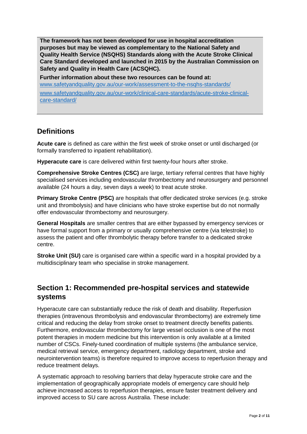**The framework has not been developed for use in hospital accreditation purposes but may be viewed as complementary to the National Safety and Quality Health Service (NSQHS) Standards along with the Acute Stroke Clinical Care Standard developed and launched in 2015 by the Australian Commission on Safety and Quality in Health Care (ACSQHC).**

**Further information about these two resources can be found at:** www.safetyandquality.gov.au/our-work/assessment-to-the-nsqhs-standards/ www.safetyandquality.gov.au/our-work/clinical-care-standards/acute-stroke-clinical care-standard/

## **Definitions**

**Acute care** is defined as care within the first week of stroke onset or until discharged (or formally transferred to inpatient rehabilitation).

**Hyperacute care** is care delivered within first twenty-four hours after stroke.

**Comprehensive Stroke Centres (CSC)** are large, tertiary referral centres that have highly specialised services including endovascular thrombectomy and neurosurgery and personnel available (24 hours a day, seven days a week) to treat acute stroke.

**Primary Stroke Centre (PSC)** are hospitals that offer dedicated stroke services (e.g. stroke unit and thrombolysis) and have clinicians who have stroke expertise but do not normally offer endovascular thrombectomy and neurosurgery.

**General Hospitals** are smaller centres that are either bypassed by emergency services or have formal support from a primary or usually comprehensive centre (via telestroke) to assess the patient and offer thrombolytic therapy before transfer to a dedicated stroke centre.

**Stroke Unit (SU)** care is organised care within a specific ward in a hospital provided by a multidisciplinary team who specialise in stroke management.

## **Section 1: Recommended pre-hospital services and statewide systems**

Hyperacute care can substantially reduce the risk of death and disability. Reperfusion therapies (intravenous thrombolysis and endovascular thrombectomy) are extremely time critical and reducing the delay from stroke onset to treatment directly benefits patients. Furthermore, endovascular thrombectomy for large vessel occlusion is one of the most potent therapies in modern medicine but this intervention is only available at a limited number of CSCs. Finely-tuned coordination of multiple systems (the ambulance service, medical retrieval service, emergency department, radiology department, stroke and neurointervention teams) is therefore required to improve access to reperfusion therapy and reduce treatment delays.

A systematic approach to resolving barriers that delay hyperacute stroke care and the implementation of geographically appropriate models of emergency care should help achieve increased access to reperfusion therapies, ensure faster treatment delivery and improved access to SU care across Australia. These include: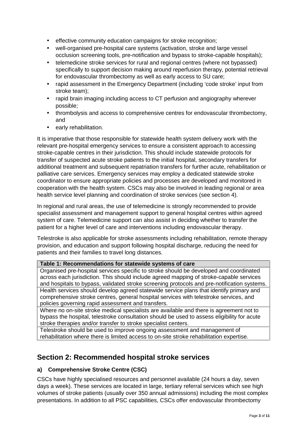- effective community education campaigns for stroke recognition;
- well-organised pre-hospital care systems (activation, stroke and large vessel occlusion screening tools, pre-notification and bypass to stroke-capable hospitals);
- telemedicine stroke services for rural and regional centres (where not bypassed) specifically to support decision making around reperfusion therapy, potential retrieval for endovascular thrombectomy as well as early access to SU care;
- rapid assessment in the Emergency Department (including 'code stroke' input from stroke team);
- rapid brain imaging including access to CT perfusion and angiography wherever possible;
- thrombolysis and access to comprehensive centres for endovascular thrombectomy, and
- early rehabilitation.

It is imperative that those responsible for statewide health system delivery work with the relevant pre-hospital emergency services to ensure a consistent approach to accessing stroke-capable centres in their jurisdiction. This should include statewide protocols for transfer of suspected acute stroke patients to the initial hospital, secondary transfers for additional treatment and subsequent repatriation transfers for further acute, rehabilitation or palliative care services. Emergency services may employ a dedicated statewide stroke coordinator to ensure appropriate policies and processes are developed and monitored in cooperation with the health system. CSCs may also be involved in leading regional or area health service level planning and coordination of stroke services (see section 4).

In regional and rural areas, the use of telemedicine is strongly recommended to provide specialist assessment and management support to general hospital centres within agreed system of care. Telemedicine support can also assist in deciding whether to transfer the patient for a higher level of care and interventions including endovascular therapy.

Telestroke is also applicable for stroke assessments including rehabilitation, remote therapy provision, and education and support following hospital discharge, reducing the need for patients and their families to travel long distances.

#### **Table 1: Recommendations for statewide systems of care**

Organised pre-hospital services specific to stroke should be developed and coordinated across each jurisdiction. This should include agreed mapping of stroke-capable services and hospitals to bypass, validated stroke screening protocols and pre-notification systems. Health services should develop agreed statewide service plans that identify primary and comprehensive stroke centres, general hospital services with telestroke services, and policies governing rapid assessment and transfers.

Where no on-site stroke medical specialists are available and there is agreement not to bypass the hospital, telestroke consultation should be used to assess eligibility for acute stroke therapies and/or transfer to stroke specialist centers.

Telestroke should be used to improve ongoing assessment and management of rehabilitation where there is limited access to on-site stroke rehabilitation expertise.

## **Section 2: Recommended hospital stroke services**

#### **a) Comprehensive Stroke Centre (CSC)**

CSCs have highly specialised resources and personnel available (24 hours a day, seven days a week). These services are located in large, tertiary referral services which see high volumes of stroke patients (usually over 350 annual admissions) including the most complex presentations. In addition to all PSC capabilities, CSCs offer endovascular thrombectomy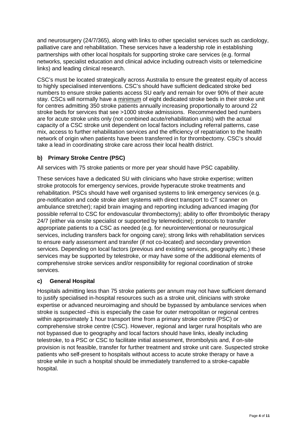and neurosurgery (24/7/365), along with links to other specialist services such as cardiology, palliative care and rehabilitation. These services have a leadership role in establishing partnerships with other local hospitals for supporting stroke care services (e.g. formal networks, specialist education and clinical advice including outreach visits or telemedicine links) and leading clinical research.

CSC's must be located strategically across Australia to ensure the greatest equity of access to highly specialised interventions. CSC's should have sufficient dedicated stroke bed numbers to ensure stroke patients access SU early and remain for over 90% of their acute stay. CSCs will normally have a minimum of eight dedicated stroke beds in their stroke unit for centres admitting 350 stroke patients annually increasing proportionally to around 22 stroke beds for services that see >1000 stroke admissions. Recommended bed numbers are for acute stroke units only (not combined acute/rehabilitation units) with the actual capacity of a CSC stroke unit dependent on local factors including referral patterns, case mix, access to further rehabilitation services and the efficiency of repatriation to the health network of origin when patients have been transferred in for thrombectomy. CSC's should take a lead in coordinating stroke care across their local health district.

#### **b) Primary Stroke Centre (PSC)**

All services with 75 stroke patients or more per year should have PSC capability.

These services have a dedicated SU with clinicians who have stroke expertise; written stroke protocols for emergency services, provide hyperacute stroke treatments and rehabilitation. PSCs should have well organised systems to link emergency services (e.g. pre-notification and code stroke alert systems with direct transport to CT scanner on ambulance stretcher); rapid brain imaging and reporting including advanced imaging (for possible referral to CSC for endovascular thrombectomy); ability to offer thrombolytic therapy 24/7 (either via onsite specialist or supported by telemedicine); protocols to transfer appropriate patients to a CSC as needed (e.g. for neurointerventional or neurosurgical services, including transfers back for ongoing care); strong links with rehabilitation services to ensure early assessment and transfer (if not co-located) and secondary prevention services. Depending on local factors (previous and existing services, geography etc.) these services may be supported by telestroke, or may have some of the additional elements of comprehensive stroke services and/or responsibility for regional coordination of stroke services.

#### **c) General Hospital**

Hospitals admitting less than 75 stroke patients per annum may not have sufficient demand to justify specialised in-hospital resources such as a stroke unit, clinicians with stroke expertise or advanced neuroimaging and should be bypassed by ambulance services when stroke is suspected –this is especially the case for outer metropolitan or regional centres within approximately 1 hour transport time from a primary stroke centre (PSC) or comprehensive stroke centre (CSC). However, regional and larger rural hospitals who are not bypassed due to geography and local factors should have links, ideally including telestroke, to a PSC or CSC to facilitate initial assessment, thrombolysis and, if on-site provision is not feasible, transfer for further treatment and stroke unit care. Suspected stroke patients who self-present to hospitals without access to acute stroke therapy or have a stroke while in such a hospital should be immediately transferred to a stroke-capable hospital.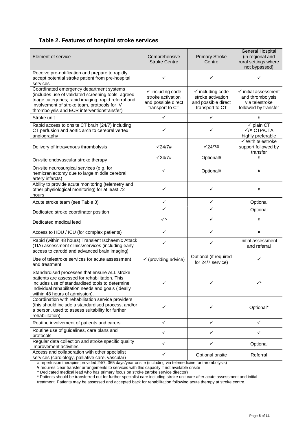#### **Table 2. Features of hospital stroke services**

| Element of service                                                                                                                                                                                                                                    | Comprehensive<br><b>Stroke Centre</b>                                                      | <b>Primary Stroke</b><br>Centre                                                            | <b>General Hospital</b><br>(in regional and<br>rural settings where<br>not bypassed)          |
|-------------------------------------------------------------------------------------------------------------------------------------------------------------------------------------------------------------------------------------------------------|--------------------------------------------------------------------------------------------|--------------------------------------------------------------------------------------------|-----------------------------------------------------------------------------------------------|
| Receive pre-notification and prepare to rapidly<br>accept potential stroke patient from pre-hospital<br>services                                                                                                                                      | ✓                                                                                          | ✓                                                                                          | ✓                                                                                             |
| Coordinated emergency department systems<br>(includes use of validated screening tools; agreed<br>triage categories; rapid imaging; rapid referral and<br>involvement of stroke team, protocols for IV<br>thrombolysis and ECR intervention/transfer) | $\checkmark$ including code<br>stroke activation<br>and possible direct<br>transport to CT | $\checkmark$ including code<br>stroke activation<br>and possible direct<br>transport to CT | $\checkmark$ initial assessment<br>and thrombolysis<br>via telestroke<br>followed by transfer |
| Stroke unit                                                                                                                                                                                                                                           | $\checkmark$                                                                               | $\checkmark$                                                                               | $\pmb{\times}$                                                                                |
| Rapid access to onsite CT brain (24/7) including<br>CT perfusion and aortic arch to cerebral vertex<br>angiography                                                                                                                                    | ✓                                                                                          | ✓                                                                                          | $\checkmark$ plain CT<br>$\checkmark$ / $\star$ CTP/CTA<br>highly preferable                  |
| Delivery of intravenous thrombolysis                                                                                                                                                                                                                  | $\sqrt{24/7}$ #                                                                            | $\sqrt{24/7}$ #                                                                            | $\checkmark$ With telestroke<br>support followed by<br>transfer                               |
| On-site endovascular stroke therapy                                                                                                                                                                                                                   | $\sqrt{24/7}$ #                                                                            | Optional¥                                                                                  | ×                                                                                             |
| On-site neurosurgical services (e.g. for<br>hemicraniectomy due to large middle cerebral<br>artery infarcts)                                                                                                                                          | ✓                                                                                          | Optional¥                                                                                  | ×                                                                                             |
| Ability to provide acute monitoring (telemetry and<br>other physiological monitoring) for at least 72<br>hours                                                                                                                                        | ✓                                                                                          | ✓                                                                                          | ×                                                                                             |
| Acute stroke team (see Table 3)                                                                                                                                                                                                                       | ✓                                                                                          | ✓                                                                                          | Optional                                                                                      |
| Dedicated stroke coordinator position                                                                                                                                                                                                                 | ✓                                                                                          | ✓                                                                                          | Optional                                                                                      |
| Dedicated medical lead                                                                                                                                                                                                                                | $\sqrt{\Lambda}$                                                                           | ✓                                                                                          | $\pmb{\times}$                                                                                |
| Access to HDU / ICU (for complex patients)                                                                                                                                                                                                            | $\checkmark$                                                                               | ✓                                                                                          | ×                                                                                             |
| Rapid (within 48 hours) Transient Ischaemic Attack<br>(TIA) assessment clinics/services (including early<br>access to carotid and advanced brain imaging)                                                                                             | ✓                                                                                          | ✓                                                                                          | initial assessment<br>and referral                                                            |
| Use of telestroke services for acute assessment<br>and treatment                                                                                                                                                                                      | $\checkmark$ (providing advice)                                                            | Optional (if required<br>for 24/7 service)                                                 | ✓                                                                                             |
| Standardised processes that ensure ALL stroke<br>patients are assessed for rehabilitation. This<br>includes use of standardised tools to determine<br>individual rehabilitation needs and goals (ideally<br>within 48 hours of admission).            | ✓                                                                                          | ✓                                                                                          | $\checkmark^*$                                                                                |
| Coordination with rehabilitation service providers<br>(this should include a standardised process, and/or<br>a person, used to assess suitability for further<br>rehabilitation).                                                                     | ✓                                                                                          | ✓                                                                                          | Optional*                                                                                     |
| Routine involvement of patients and carers                                                                                                                                                                                                            | ✓                                                                                          | ✓                                                                                          | ✓                                                                                             |
| Routine use of guidelines, care plans and<br>protocols                                                                                                                                                                                                | ✓                                                                                          | ✓                                                                                          | ✓                                                                                             |
| Regular data collection and stroke specific quality<br>improvement activities                                                                                                                                                                         | ✓                                                                                          | ✓                                                                                          | Optional                                                                                      |
| Access and collaboration with other specialist<br>services (cardiology, palliative care, vascular)                                                                                                                                                    | ✓                                                                                          | Optional onsite                                                                            | Referral                                                                                      |

# reperfusion therapies provided 24/7, 365 days/year onsite (including via telemedicine for thrombolysis)

¥ requires clear transfer arrangements to services with this capacity if not available onsite

^ Dedicated medical lead who has primary focus on stroke (stroke service director)

\* Patients should be transferred out for further specialist care including stroke unit care after acute assessment and initial

treatment. Patients may be assessed and accepted back for rehabilitation following acute therapy at stroke centre.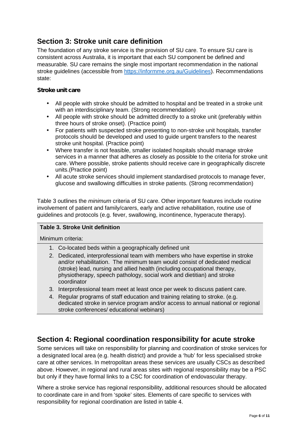## **Section 3: Stroke unit care definition**

The foundation of any stroke service is the provision of SU care. To ensure SU care is consistent across Australia, it is important that each SU component be defined and measurable. SU care remains the single most important recommendation in the national stroke guidelines (accessible from https://informme.org.au/Guidelines). Recommendations state:

#### *Stroke unit care*

- All people with stroke should be admitted to hospital and be treated in a stroke unit with an interdisciplinary team. (Strong recommendation)
- All people with stroke should be admitted directly to a stroke unit (preferably within three hours of stroke onset). (Practice point)
- For patients with suspected stroke presenting to non-stroke unit hospitals, transfer protocols should be developed and used to guide urgent transfers to the nearest stroke unit hospital. (Practice point)
- Where transfer is not feasible, smaller isolated hospitals should manage stroke services in a manner that adheres as closely as possible to the criteria for stroke unit care. Where possible, stroke patients should receive care in geographically discrete units.(Practice point)
- All acute stroke services should implement standardised protocols to manage fever, glucose and swallowing difficulties in stroke patients. (Strong recommendation)

Table 3 outlines the *minimum* criteria of SU care. Other important features include routine involvement of patient and family/carers, early and active rehabilitation, routine use of guidelines and protocols (e.g. fever, swallowing, incontinence, hyperacute therapy).

#### **Table 3. Stroke Unit definition**

Minimum criteria:

- 1. Co-located beds within a geographically defined unit
- 2. Dedicated, interprofessional team with members who have expertise in stroke and/or rehabilitation. The minimum team would consist of dedicated medical (stroke) lead, nursing and allied health (including occupational therapy, physiotherapy, speech pathology, social work and dietitian) and stroke coordinator
- 3. Interprofessional team meet at least once per week to discuss patient care.
- 4. Regular programs of staff education and training relating to stroke. (e.g. dedicated stroke in service program and/or access to annual national or regional stroke conferences/ educational webinars)

## **Section 4: Regional coordination responsibility for acute stroke**

Some services will take on responsibility for planning and coordination of stroke services for a designated local area (e.g. health district) and provide a 'hub' for less specialised stroke care at other services. In metropolitan areas these services are usually CSCs as described above. However, in regional and rural areas sites with regional responsibility may be a PSC but only if they have formal links to a CSC for coordination of endovascular therapy.

Where a stroke service has regional responsibility, additional resources should be allocated to coordinate care in and from 'spoke' sites. Elements of care specific to services with responsibility for regional coordination are listed in table 4.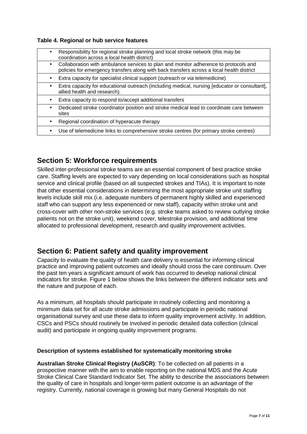#### **Table 4. Regional or hub service features**

| $\bullet$ | Responsibility for regional stroke planning and local stroke network (this may be<br>coordination across a local health district)                                                 |
|-----------|-----------------------------------------------------------------------------------------------------------------------------------------------------------------------------------|
| ٠         | Collaboration with ambulance services to plan and monitor adherence to protocols and<br>policies for emergency transfers along with back transfers across a local health district |
| ٠         | Extra capacity for specialist clinical support (outreach or via telemedicine)                                                                                                     |
|           | Extra capacity for educational outreach (including medical, nursing [educator or consultant],<br>allied health and research).                                                     |
| ٠         | Extra capacity to respond to/accept additional transfers                                                                                                                          |
| ٠         | Dedicated stroke coordinator position and stroke medical lead to coordinate care between<br>sites                                                                                 |
| ٠         | Regional coordination of hyperacute therapy                                                                                                                                       |
| ٠         | Use of telemedicine links to comprehensive stroke centres (for primary stroke centres)                                                                                            |
|           |                                                                                                                                                                                   |

## **Section 5: Workforce requirements**

Skilled inter-professional stroke teams are an essential component of best practice stroke care. Staffing levels are expected to vary depending on local considerations such as hospital service and clinical profile (based on all suspected strokes and TIAs). It is important to note that other essential considerations in determining the most appropriate stroke unit staffing levels include skill mix (i.e. adequate numbers of permanent highly skilled and experienced staff who can support any less experienced or new staff), capacity within stroke unit and cross-cover with other non-stroke services (e.g. stroke teams asked to review outlying stroke patients not on the stroke unit), weekend cover, telestroke provision, and additional time allocated to professional development, research and quality improvement activities.

## **Section 6: Patient safety and quality improvement**

Capacity to evaluate the quality of health care delivery is essential for informing clinical practice and improving patient outcomes and ideally should cross the care continuum. Over the past ten years a significant amount of work has occurred to develop national clinical indicators for stroke. Figure 1 below shows the links between the different indicator sets and the nature and purpose of each.

As a minimum, all hospitals should participate in routinely collecting and monitoring a minimum data set for all acute stroke admissions and participate in periodic national organisational survey and use these data to inform quality improvement activity. In addition, CSCs and PSCs should routinely be involved in periodic detailed data collection (clinical audit) and participate in ongoing quality improvement programs.

#### **Description of systems established for systematically monitoring stroke**

**Australian Stroke Clinical Registry (AuSCR)**: To be collected on all patients in a prospective manner with the aim to enable reporting on the national MDS and the Acute Stroke Clinical Care Standard Indicator Set. The ability to describe the associations between the quality of care in hospitals and longer-term patient outcome is an advantage of the registry. Currently, national coverage is growing but many General Hospitals do not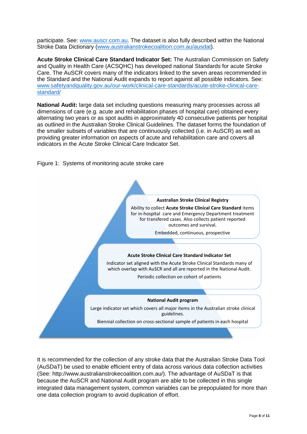participate. See: www.auscr.com.au. The dataset is also fully described within the National Stroke Data Dictionary (www.australianstrokecoalition.com.au/ausdat).

**Acute Stroke Clinical Care Standard Indicator Set:** The Australian Commission on Safety and Quality in Health Care (ACSQHC) has developed national Standards for acute Stroke Care. The AuSCR covers many of the indicators linked to the seven areas recommended in the Standard and the National Audit expands to report against all possible indicators. See: www.safetyandquality.gov.au/our-work/clinical-care-standards/acute-stroke-clinical-care standard/

**National Audit:** large data set including questions measuring many processes across all dimensions of care (e.g. acute and rehabilitation phases of hospital care) obtained every alternating two years or as spot audits in approximately 40 consecutive patients per hospital as outlined in the Australian Stroke Clinical Guidelines. The dataset forms the foundation of the smaller subsets of variables that are continuously collected (i.e. in AuSCR) as well as providing greater information on aspects of acute and rehabilitation care and covers all indicators in the Acute Stroke Clinical Care Indicator Set.





It is recommended for the collection of any stroke data that the Australian Stroke Data Tool (AuSDaT) be used to enable efficient entry of data across various data collection activities (See: http://www.australianstrokecoalition.com.au/). The advantage of AuSDaT is that because the AuSCR and National Audit program are able to be collected in this single integrated data management system, common variables can be prepopulated for more than one data collection program to avoid duplication of effort.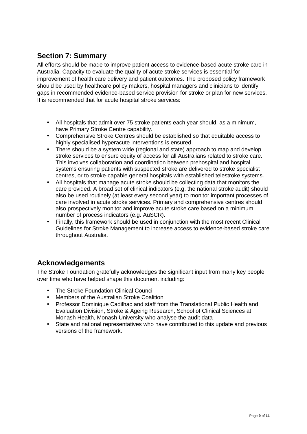## **Section 7: Summary**

All efforts should be made to improve patient access to evidence-based acute stroke care in Australia. Capacity to evaluate the quality of acute stroke services is essential for improvement of health care delivery and patient outcomes. The proposed policy framework should be used by healthcare policy makers, hospital managers and clinicians to identify gaps in recommended evidence-based service provision for stroke or plan for new services. It is recommended that for acute hospital stroke services:

- All hospitals that admit over 75 stroke patients each year should, as a minimum, have Primary Stroke Centre capability.
- Comprehensive Stroke Centres should be established so that equitable access to highly specialised hyperacute interventions is ensured.
- There should be a system wide (regional and state) approach to map and develop stroke services to ensure equity of access for all Australians related to stroke care. This involves collaboration and coordination between prehospital and hospital systems ensuring patients with suspected stroke are delivered to stroke specialist centres, or to stroke-capable general hospitals with established telestroke systems.
- All hospitals that manage acute stroke should be collecting data that monitors the care provided. A broad set of clinical indicators (e.g. the national stroke audit) should also be used routinely (at least every second year) to monitor important processes of care involved in acute stroke services. Primary and comprehensive centres should also prospectively monitor and improve acute stroke care based on a minimum number of process indicators (e.g. AuSCR).
- Finally, this framework should be used in conjunction with the most recent Clinical Guidelines for Stroke Management to increase access to evidence-based stroke care throughout Australia.

## **Acknowledgements**

The Stroke Foundation gratefully acknowledges the significant input from many key people over time who have helped shape this document including:

- The Stroke Foundation Clinical Council
- Members of the Australian Stroke Coalition
- Professor Dominique Cadilhac and staff from the Translational Public Health and Evaluation Division, Stroke & Ageing Research, School of Clinical Sciences at Monash Health, Monash University who analyse the audit data
- State and national representatives who have contributed to this update and previous versions of the framework.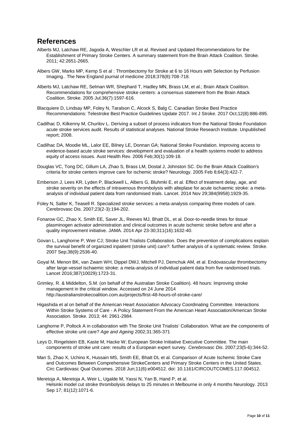### **References**

- Alberts MJ, Latchaw RE, Jagoda A, Weschler LR et al. Revised and Updated Recommendations for the Establishment of Primary Stroke Centers. A summary statement from the Brain Attack Coalition. Stroke. 2011; 42:2651-2665.
- Albers GW, Marks MP, Kemp S et al : Thrombectomy for Stroke at 6 to 16 Hours with Selection by Perfusion Imaging.. The New England journal of medicine 2018;378(8):708-718.
- Alberts MJ, Latchaw RE, Selman WR, Shephard T, Hadley MN, Brass LM, et al.; Brain Attack Coalition. Recommendations for comprehensive stroke centers: a consensus statement from the Brain Attack Coalition. Stroke. 2005 Jul;36(7):1597-616.
- Blacquiere D, Lindsay MP, Foley N, Taralson C, Alcock S, Balg C. Canadian Stroke Best Practice Recommendations: Telestroke Best Practice Guidelines Update 2017. Int J Stroke. 2017 Oct;12(8):886-895.
- Cadilhac D, Kilkenny M, Churilov L. Deriving a subset of process indicators from the National Stroke Foundation acute stroke services audit. Results of statistical analyses. National Stroke Research Institute. Unpublished report; 2008.
- Cadilhac DA, Moodie ML, Lalor EE, Bilney LE, Donnan GA; National Stroke Foundation. Improving access to evidence-based acute stroke services: development and evaluation of a health systems model to address equity of access issues. Aust Health Rev. 2006 Feb;30(1):109-18.
- Douglas VC, Tong DC, Gillum LA, Zhao S, Brass LM, Dostal J, Johnston SC. Do the Brain Attack Coalition's criteria for stroke centers improve care for ischemic stroke? Neurology. 2005 Feb 8;64(3):422-7.
- Emberson J, Lees KR, Lyden P, Blackwell L, Albers G, Bluhmki E, et al. Effect of treatment delay, age, and stroke severity on the effects of intravenous thrombolysis with alteplase for acute ischaemic stroke: a meta analysis of individual patient data from randomised trials. Lancet. 2014 Nov 29;384(9958):1929-35.
- Foley N, Salter K, Teasell R. Specialized stroke services: a meta-analysis comparing three models of care. Cerebrovasc Dis. 2007;23(2-3):194-202.
- Fonarow GC, Zhao X, Smith EE, Saver JL, Reeves MJ, Bhatt DL, et al. Door-to-needle times for tissue plasminogen activator administration and clinical outcomes in acute ischemic stroke before and after a quality improvement initiative. JAMA. 2014 Apr 23-30;311(16):1632-40.
- Govan L, Langhorne P, Weir CJ; Stroke Unit Trialists Collaboration. Does the prevention of complications explain the survival benefit of organized inpatient (stroke unit) care?: further analysis of a systematic review. Stroke. 2007 Sep;38(9):2536-40.
- Goyal M, Menon BK, van Zwam WH, Dippel DWJ, Mitchell PJ, Demchuk AM, et al. Endovascular thrombectomy after large-vessel ischaemic stroke: a meta-analysis of individual patient data from five randomised trials. Lancet 2016;387(10029):1723-31.
- Grimley, R. & Middelton, S.M. (on behalf of the Australian Stroke Coalition). 48 hours: Improving stroke management in the critical window. Accessed on 24 June 2014 http://australianstrokecoalition.com.au/projects/first-48-hours-of-stroke-care/
- Higashida et al on behalf of the American Heart Association Advocacy Coordinating Committee. Interactions Within Stroke Systems of Care - A Policy Statement From the American Heart Association/American Stroke Association. Stroke. 2013; 44: 2961-2984.
- Langhorne P, Pollock A in collaboration with The Stroke Unit Trialists' Collaboration. What are the components of effective stroke unit care? *Age and Ageing* 2002;31:365-371
- Leys D, Ringelstein EB, Kaste M, Hacke W; European Stroke Initiative Executive Committee. The main components of stroke unit care: results of a European expert survey. *Cerebrovasc Dis*. 2007;23(5-6):344-52.
- Man S, Zhao X, Uchino K, Hussain MS, Smith EE, Bhatt DL et al. Comparison of Acute Ischemic Stroke Care and Outcomes Between Comprehensive StrokeCenters and Primary Stroke Centers in the United States. Circ Cardiovasc Qual Outcomes. 2018 Jun;11(6):e004512. doi: 10.1161/CIRCOUTCOMES.117.004512.
- Meretoja A, Meretoja A, Weir L, Ugalde M, Yassi N, Yan B, Hand P, et al. Helsinki model cut stroke thrombolysis delays to 25 minutes in Melbourne in only 4 months Neurology. 2013 Sep 17; 81(12):1071-6.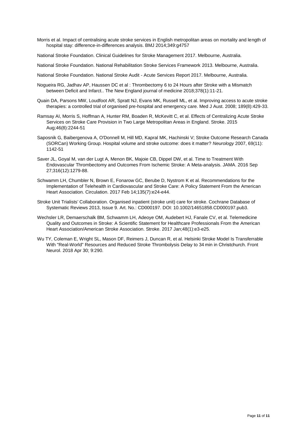Morris et al. Impact of centralising acute stroke services in English metropolitan areas on mortality and length of hospital stay: difference-in-differences analysis. BMJ 2014;349:g4757

National Stroke Foundation. Clinical Guidelines for Stroke Management 2017. Melbourne, Australia.

National Stroke Foundation. National Rehabilitation Stroke Services Framework 2013. Melbourne, Australia.

- National Stroke Foundation. National Stroke Audit Acute Services Report 2017. Melbourne, Australia.
- Nogueira RG, Jadhav AP, Haussen DC et al : Thrombectomy 6 to 24 Hours after Stroke with a Mismatch between Deficit and Infarct.. The New England journal of medicine 2018;378(1):11-21.
- Quain DA, Parsons MW, Loudfoot AR, Spratt NJ, Evans MK, Russell ML, et al. Improving access to acute stroke therapies: a controlled trial of organised pre-hospital and emergency care. Med J Aust. 2008; 189(8):429-33.
- Ramsay AI, Morris S, Hoffman A, Hunter RM, Boaden R, McKevitt C, et al. Effects of Centralizing Acute Stroke Services on Stroke Care Provision in Two Large Metropolitan Areas in England. Stroke. 2015 Aug;46(8):2244-51
- Saposnik G, Baibergenova A, O'Donnell M, Hill MD, Kapral MK, Hachinski V; Stroke Outcome Research Canada (SORCan) Working Group. Hospital volume and stroke outcome: does it matter? *Neurology* 2007, 69(11): 1142-51
- Saver JL, Goyal M, van der Lugt A, Menon BK, Majoie CB, Dippel DW, et al. Time to Treatment With Endovascular Thrombectomy and Outcomes From Ischemic Stroke: A Meta-analysis. JAMA. 2016 Sep 27;316(12):1279-88.
- Schwamm LH, Chumbler N, Brown E, Fonarow GC, Berube D, Nystrom K et al. Recommendations for the Implementation of Telehealth in Cardiovascular and Stroke Care: A Policy Statement From the American Heart Association. Circulation. 2017 Feb 14;135(7):e24-e44.
- Stroke Unit Trialists' Collaboration. Organised inpatient (stroke unit) care for stroke. Cochrane Database of Systematic Reviews 2013, Issue 9. Art. No.: CD000197. DOI: 10.1002/14651858.CD000197.pub3.
- Wechsler LR, Demaerschalk BM, Schwamm LH, Adeoye OM, Audebert HJ, Fanale CV, et al. Telemedicine Quality and Outcomes in Stroke: A Scientific Statement for Healthcare Professionals From the American Heart Association/American Stroke Association. Stroke. 2017 Jan;48(1):e3-e25.
- Wu TY, Coleman E, Wright SL, Mason DF, Reimers J, Duncan R, et al. Helsinki Stroke Model Is Transferrable With "Real-World" Resources and Reduced Stroke Thrombolysis Delay to 34 min in Christchurch. Front Neurol. 2018 Apr 30; 9:290.